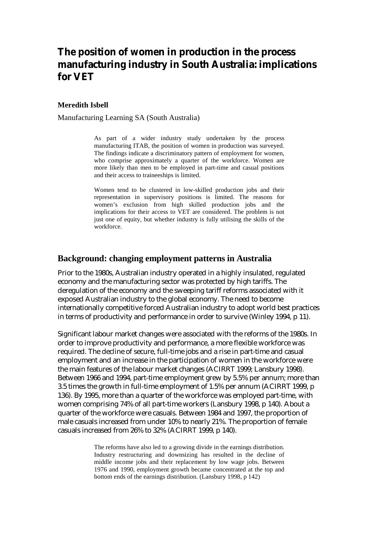# **The position of women in production in the process manufacturing industry in South Australia: implications for VET**

#### **Meredith Isbell**

Manufacturing Learning SA (South Australia)

As part of a wider industry study undertaken by the process manufacturing ITAB, the position of women in production was surveyed. The findings indicate a discriminatory pattern of employment for women, who comprise approximately a quarter of the workforce. Women are more likely than men to be employed in part-time and casual positions and their access to traineeships is limited.

Women tend to be clustered in low-skilled production jobs and their representation in supervisory positions is limited. The reasons for women's exclusion from high skilled production jobs and the implications for their access to VET are considered. The problem is not just one of equity, but whether industry is fully utilising the skills of the workforce.

#### **Background: changing employment patterns in Australia**

Prior to the 1980s, Australian industry operated in a highly insulated, regulated economy and the manufacturing sector was protected by high tariffs. The deregulation of the economy and the sweeping tariff reforms associated with it exposed Australian industry to the global economy. The need to become internationally competitive forced Australian industry to adopt world best practices in terms of productivity and performance in order to survive (Winley 1994, p 11).

Significant labour market changes were associated with the reforms of the 1980s. In order to improve productivity and performance, a more flexible workforce was required. The decline of secure, full-time jobs and a rise in part-time and casual employment and an increase in the participation of women in the workforce were the main features of the labour market changes (ACIRRT 1999; Lansbury 1998). Between 1966 and 1994, part-time employment grew by 5.5% per annum; more than 3.5 times the growth in full-time employment of 1.5% per annum (ACIRRT 1999, p 136). By 1995, more than a quarter of the workforce was employed part-time, with women comprising 74% of all part-time workers (Lansbury 1998, p 140). About a quarter of the workforce were casuals. Between 1984 and 1997, the proportion of male casuals increased from under 10% to nearly 21%. The proportion of female casuals increased from 26% to 32% (ACIRRT 1999, p 140).

> The reforms have also led to a growing divide in the earnings distribution. Industry restructuring and downsizing has resulted in the decline of middle income jobs and their replacement by low wage jobs. Between 1976 and 1990, employment growth became concentrated at the top and bottom ends of the earnings distribution. (Lansbury 1998, p 142)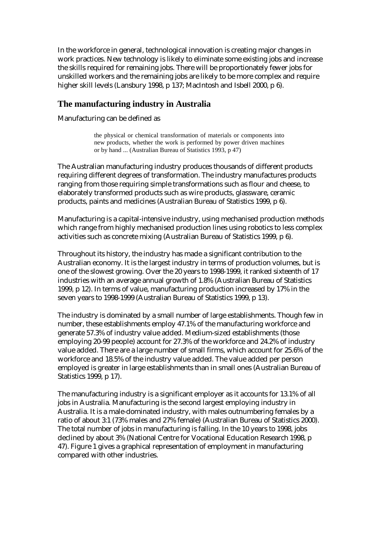In the workforce in general, technological innovation is creating major changes in work practices. New technology is likely to eliminate some existing jobs and increase the skills required for remaining jobs. There will be proportionately fewer jobs for unskilled workers and the remaining jobs are likely to be more complex and require higher skill levels (Lansbury 1998, p 137; MacIntosh and Isbell 2000, p 6).

### **The manufacturing industry in Australia**

Manufacturing can be defined as

the physical or chemical transformation of materials or components into new products, whether the work is performed by power driven machines or by hand ... (Australian Bureau of Statistics 1993, p 47)

The Australian manufacturing industry produces thousands of different products requiring different degrees of transformation. The industry manufactures products ranging from those requiring simple transformations such as flour and cheese, to elaborately transformed products such as wire products, glassware, ceramic products, paints and medicines (Australian Bureau of Statistics 1999, p 6).

Manufacturing is a capital-intensive industry, using mechanised production methods which range from highly mechanised production lines using robotics to less complex activities such as concrete mixing (Australian Bureau of Statistics 1999, p 6).

Throughout its history, the industry has made a significant contribution to the Australian economy. It is the largest industry in terms of production volumes, but is one of the slowest growing. Over the 20 years to 1998-1999, it ranked sixteenth of 17 industries with an average annual growth of 1.8% (Australian Bureau of Statistics 1999, p 12). In terms of value, manufacturing production increased by 17% in the seven years to 1998-1999 (Australian Bureau of Statistics 1999, p 13).

The industry is dominated by a small number of large establishments. Though few in number, these establishments employ 47.1% of the manufacturing workforce and generate 57.3% of industry value added. Medium-sized establishments (those employing 20-99 people) account for 27.3% of the workforce and 24.2% of industry value added. There are a large number of small firms, which account for 25.6% of the workforce and 18.5% of the industry value added. The value added per person employed is greater in large establishments than in small ones (Australian Bureau of Statistics 1999, p 17).

The manufacturing industry is a significant employer as it accounts for 13.1% of all jobs in Australia. Manufacturing is the second largest employing industry in Australia. It is a male-dominated industry, with males outnumbering females by a ratio of about 3:1 (73% males and 27% female) (Australian Bureau of Statistics 2000). The total number of jobs in manufacturing is falling. In the 10 years to 1998, jobs declined by about 3% (National Centre for Vocational Education Research 1998, p 47). Figure 1 gives a graphical representation of employment in manufacturing compared with other industries.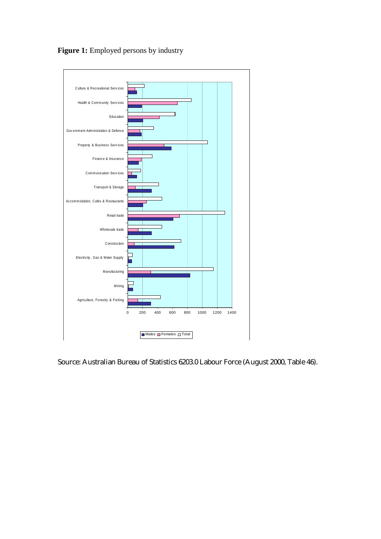

Figure 1: Employed persons by industry

Source: Australian Bureau of Statistics 6203.0 Labour Force (August 2000, Table 46).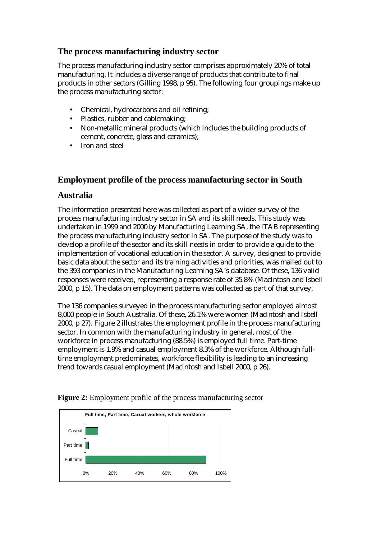## **The process manufacturing industry sector**

The process manufacturing industry sector comprises approximately 20% of total manufacturing. It includes a diverse range of products that contribute to final products in other sectors (Gilling 1998, p 95). The following four groupings make up the process manufacturing sector:

- Chemical, hydrocarbons and oil refining;
- Plastics, rubber and cablemaking;
- Non-metallic mineral products (which includes the building products of cement, concrete, glass and ceramics);
- Iron and steel

### **Employment profile of the process manufacturing sector in South**

### **Australia**

The information presented here was collected as part of a wider survey of the process manufacturing industry sector in SA and its skill needs. This study was undertaken in 1999 and 2000 by Manufacturing Learning SA, the ITAB representing the process manufacturing industry sector in SA. The purpose of the study was to develop a profile of the sector and its skill needs in order to provide a guide to the implementation of vocational education in the sector. A survey, designed to provide basic data about the sector and its training activities and priorities, was mailed out to the 393 companies in the Manufacturing Learning SA's database. Of these, 136 valid responses were received, representing a response rate of 35.8% (MacIntosh and Isbell 2000, p 15). The data on employment patterns was collected as part of that survey.

The 136 companies surveyed in the process manufacturing sector employed almost 8,000 people in South Australia. Of these, 26.1% were women (MacIntosh and Isbell 2000, p 27). Figure 2 illustrates the employment profile in the process manufacturing sector. In common with the manufacturing industry in general, most of the workforce in process manufacturing (88.5%) is employed full time. Part-time employment is 1.9% and casual employment 8.3% of the workforce. Although fulltime employment predominates, workforce flexibility is leading to an increasing trend towards casual employment (MacIntosh and Isbell 2000, p 26).



**Figure 2:** Employment profile of the process manufacturing sector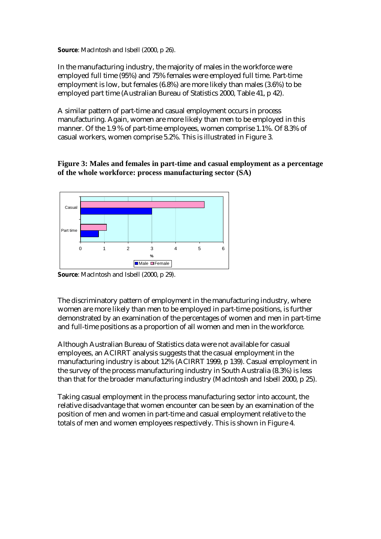**Source**: MacIntosh and Isbell (2000, p 26).

In the manufacturing industry, the majority of males in the workforce were employed full time (95%) and 75% females were employed full time. Part-time employment is low, but females (6.8%) are more likely than males (3.6%) to be employed part time (Australian Bureau of Statistics 2000, Table 41, p 42).

A similar pattern of part-time and casual employment occurs in process manufacturing. Again, women are more likely than men to be employed in this manner. Of the 1.9 % of part-time employees, women comprise 1.1%. Of 8.3% of casual workers, women comprise 5.2%. This is illustrated in Figure 3.

**Figure 3: Males and females in part-time and casual employment as a percentage of the whole workforce: process manufacturing sector (SA)** 



**Source**: MacIntosh and Isbell (2000, p 29).

The discriminatory pattern of employment in the manufacturing industry, where women are more likely than men to be employed in part-time positions, is further demonstrated by an examination of the percentages of women and men in part-time and full-time positions as a proportion of all women and men in the workforce.

Although Australian Bureau of Statistics data were not available for casual employees, an ACIRRT analysis suggests that the casual employment in the manufacturing industry is about 12% (ACIRRT 1999, p 139). Casual employment in the survey of the process manufacturing industry in South Australia (8.3%) is less than that for the broader manufacturing industry (MacIntosh and Isbell 2000, p 25).

Taking casual employment in the process manufacturing sector into account, the relative disadvantage that women encounter can be seen by an examination of the position of men and women in part-time and casual employment relative to the totals of men and women employees respectively. This is shown in Figure 4.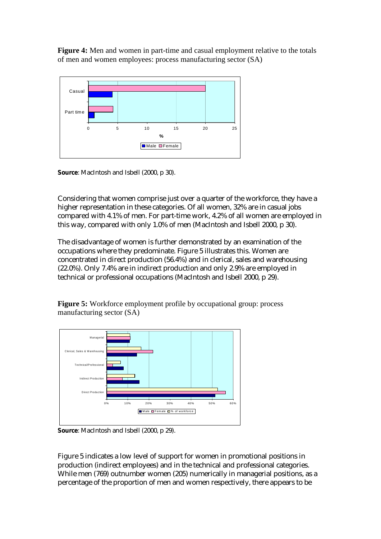**Figure 4:** Men and women in part-time and casual employment relative to the totals of men and women employees: process manufacturing sector (SA)



**Source**: MacIntosh and Isbell (2000, p 30).

Considering that women comprise just over a quarter of the workforce, they have a higher representation in these categories. Of all women, 32% are in casual jobs compared with 4.1% of men. For part-time work, 4.2% of all women are employed in this way, compared with only 1.0% of men (MacIntosh and Isbell 2000, p 30).

The disadvantage of women is further demonstrated by an examination of the occupations where they predominate. Figure 5 illustrates this. Women are concentrated in direct production (56.4%) and in clerical, sales and warehousing (22.0%). Only 7.4% are in indirect production and only 2.9% are employed in technical or professional occupations (MacIntosh and Isbell 2000, p 29).

**Figure 5:** Workforce employment profile by occupational group: process manufacturing sector (SA)



**Source**: MacIntosh and Isbell (2000, p 29).

Figure 5 indicates a low level of support for women in promotional positions in production (indirect employees) and in the technical and professional categories. While men (769) outnumber women (205) numerically in managerial positions, as a percentage of the proportion of men and women respectively, there appears to be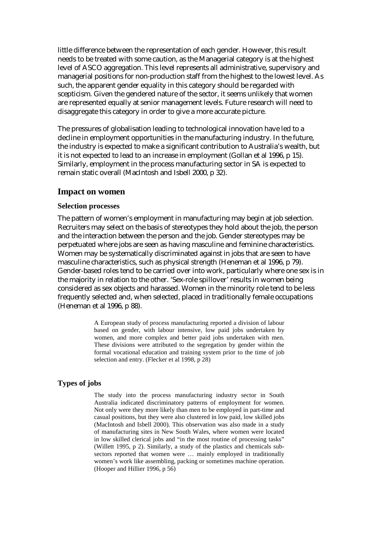little difference between the representation of each gender. However, this result needs to be treated with some caution, as the Managerial category is at the highest level of ASCO aggregation. This level represents all administrative, supervisory and managerial positions for non-production staff from the highest to the lowest level. As such, the apparent gender equality in this category should be regarded with scepticism. Given the gendered nature of the sector, it seems unlikely that women are represented equally at senior management levels. Future research will need to disaggregate this category in order to give a more accurate picture.

The pressures of globalisation leading to technological innovation have led to a decline in employment opportunities in the manufacturing industry. In the future, the industry is expected to make a significant contribution to Australia's wealth, but it is not expected to lead to an increase in employment (Gollan et al 1996, p 15). Similarly, employment in the process manufacturing sector in SA is expected to remain static overall (MacIntosh and Isbell 2000, p 32).

#### **Impact on women**

#### **Selection processes**

The pattern of women's employment in manufacturing may begin at job selection. Recruiters may select on the basis of stereotypes they hold about the job, the person and the interaction between the person and the job. Gender stereotypes may be perpetuated where jobs are seen as having masculine and feminine characteristics. Women may be systematically discriminated against in jobs that are seen to have masculine characteristics, such as physical strength (Heneman et al 1996, p 79). Gender-based roles tend to be carried over into work, particularly where one sex is in the majority in relation to the other. 'Sex-role spillover' results in women being considered as sex objects and harassed. Women in the minority role tend to be less frequently selected and, when selected, placed in traditionally female occupations (Heneman et al 1996, p 88).

> A European study of process manufacturing reported a division of labour based on gender, with labour intensive, low paid jobs undertaken by women, and more complex and better paid jobs undertaken with men. These divisions were attributed to the segregation by gender within the formal vocational education and training system prior to the time of job selection and entry. (Flecker et al 1998, p 28)

#### **Types of jobs**

The study into the process manufacturing industry sector in South Australia indicated discriminatory patterns of employment for women. Not only were they more likely than men to be employed in part-time and casual positions, but they were also clustered in low paid, low skilled jobs (MacIntosh and Isbell 2000). This observation was also made in a study of manufacturing sites in New South Wales, where women were located in low skilled clerical jobs and "in the most routine of processing tasks" (Willett 1995, p 2). Similarly, a study of the plastics and chemicals subsectors reported that women were ... mainly employed in traditionally women's work like assembling, packing or sometimes machine operation. (Hooper and Hillier 1996, p 56)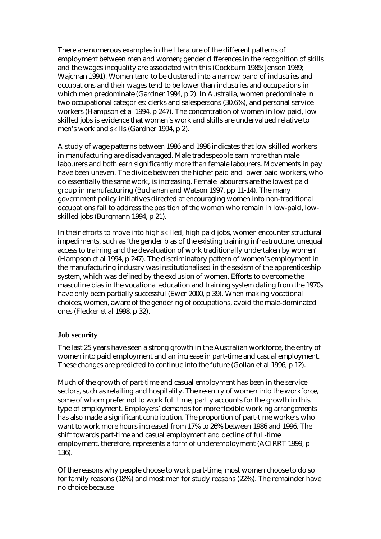There are numerous examples in the literature of the different patterns of employment between men and women; gender differences in the recognition of skills and the wages inequality are associated with this (Cockburn 1985; Jenson 1989; Wajcman 1991). Women tend to be clustered into a narrow band of industries and occupations and their wages tend to be lower than industries and occupations in which men predominate (Gardner 1994, p 2). In Australia, women predominate in two occupational categories: clerks and salespersons (30.6%), and personal service workers (Hampson et al 1994, p 247). The concentration of women in low paid, low skilled jobs is evidence that women's work and skills are undervalued relative to men's work and skills (Gardner 1994, p 2).

A study of wage patterns between 1986 and 1996 indicates that low skilled workers in manufacturing are disadvantaged. Male tradespeople earn more than male labourers and both earn significantly more than female labourers. Movements in pay have been uneven. The divide between the higher paid and lower paid workers, who do essentially the same work, is increasing. Female labourers are the lowest paid group in manufacturing (Buchanan and Watson 1997, pp 11-14). The many government policy initiatives directed at encouraging women into non-traditional occupations fail to address the position of the women who remain in low-paid, lowskilled jobs (Burgmann 1994, p 21).

In their efforts to move into high skilled, high paid jobs, women encounter structural impediments, such as 'the gender bias of the existing training infrastructure, unequal access to training and the devaluation of work traditionally undertaken by women' (Hampson et al 1994, p 247). The discriminatory pattern of women's employment in the manufacturing industry was institutionalised in the sexism of the apprenticeship system, which was defined by the exclusion of women. Efforts to overcome the masculine bias in the vocational education and training system dating from the 1970s have only been partially successful (Ewer 2000, p 39). When making vocational choices, women, aware of the gendering of occupations, avoid the male-dominated ones (Flecker et al 1998, p 32).

### **Job security**

The last 25 years have seen a strong growth in the Australian workforce, the entry of women into paid employment and an increase in part-time and casual employment. These changes are predicted to continue into the future (Gollan et al 1996, p 12).

Much of the growth of part-time and casual employment has been in the service sectors, such as retailing and hospitality. The re-entry of women into the workforce, some of whom prefer not to work full time, partly accounts for the growth in this type of employment. Employers' demands for more flexible working arrangements has also made a significant contribution. The proportion of part-time workers who want to work more hours increased from 17% to 26% between 1986 and 1996. The shift towards part-time and casual employment and decline of full-time employment, therefore, represents a form of underemployment (ACIRRT 1999, p 136).

Of the reasons why people choose to work part-time, most women choose to do so for family reasons (18%) and most men for study reasons (22%). The remainder have no choice because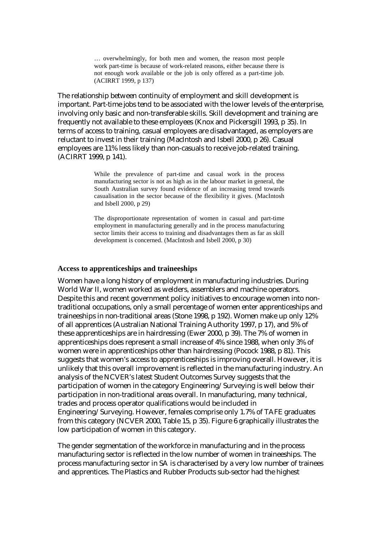… overwhelmingly, for both men and women, the reason most people work part-time is because of work-related reasons, either because there is not enough work available or the job is only offered as a part-time job. (ACIRRT 1999, p 137)

The relationship between continuity of employment and skill development is important. Part-time jobs tend to be associated with the lower levels of the enterprise, involving only basic and non-transferable skills. Skill development and training are frequently not available to these employees (Knox and Pickersgill 1993, p 35). In terms of access to training, casual employees are disadvantaged, as employers are reluctant to invest in their training (MacIntosh and Isbell 2000, p 26). Casual employees are 11% less likely than non-casuals to receive job-related training. (ACIRRT 1999, p 141).

> While the prevalence of part-time and casual work in the process manufacturing sector is not as high as in the labour market in general, the South Australian survey found evidence of an increasing trend towards casualisation in the sector because of the flexibility it gives. (MacIntosh and Isbell 2000, p 29)

> The disproportionate representation of women in casual and part-time employment in manufacturing generally and in the process manufacturing sector limits their access to training and disadvantages them as far as skill development is concerned. (MacIntosh and Isbell 2000, p 30)

#### **Access to apprenticeships and traineeships**

Women have a long history of employment in manufacturing industries. During World War II, women worked as welders, assemblers and machine operators. Despite this and recent government policy initiatives to encourage women into nontraditional occupations, only a small percentage of women enter apprenticeships and traineeships in non-traditional areas (Stone 1998, p 192). Women make up only 12% of all apprentices (Australian National Training Authority 1997, p 17), and 5% of these apprenticeships are in hairdressing (Ewer 2000, p 39). The 7% of women in apprenticeships does represent a small increase of 4% since 1988, when only 3% of women were in apprenticeships other than hairdressing (Pocock 1988, p 81). This suggests that women's access to apprenticeships is improving overall. However, it is unlikely that this overall improvement is reflected in the manufacturing industry. An analysis of the NCVER's latest Student Outcomes Survey suggests that the participation of women in the category Engineering/Surveying is well below their participation in non-traditional areas overall. In manufacturing, many technical, trades and process operator qualifications would be included in Engineering/Surveying. However, females comprise only 1.7% of TAFE graduates from this category (NCVER 2000, Table 15, p 35). Figure 6 graphically illustrates the low participation of women in this category.

The gender segmentation of the workforce in manufacturing and in the process manufacturing sector is reflected in the low number of women in traineeships. The process manufacturing sector in SA is characterised by a very low number of trainees and apprentices. The Plastics and Rubber Products sub-sector had the highest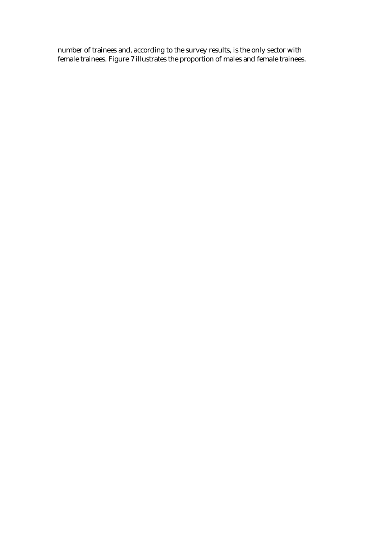number of trainees and, according to the survey results, is the only sector with female trainees. Figure 7 illustrates the proportion of males and female trainees.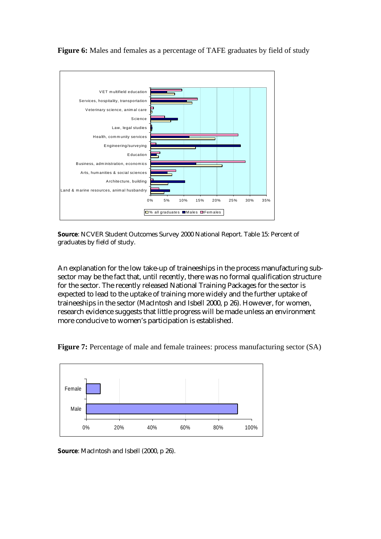

**Figure 6:** Males and females as a percentage of TAFE graduates by field of study

**Source**: NCVER Student Outcomes Survey 2000 National Report. Table 15: Percent of graduates by field of study.

An explanation for the low take-up of traineeships in the process manufacturing subsector may be the fact that, until recently, there was no formal qualification structure for the sector. The recently released National Training Packages for the sector is expected to lead to the uptake of training more widely and the further uptake of traineeships in the sector (MacIntosh and Isbell 2000, p 26). However, for women, research evidence suggests that little progress will be made unless an environment more conducive to women's participation is established.





**Source**: MacIntosh and Isbell (2000, p 26).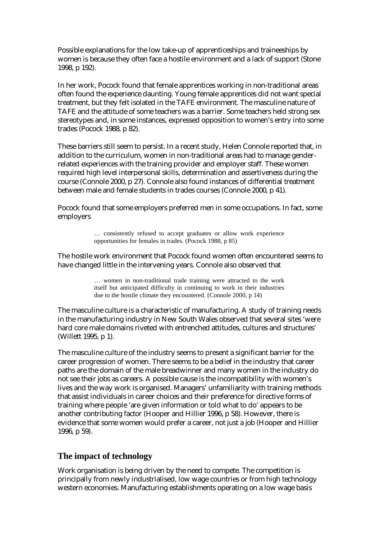Possible explanations for the low take-up of apprenticeships and traineeships by women is because they often face a hostile environment and a lack of support (Stone 1998, p 192).

In her work, Pocock found that female apprentices working in non-traditional areas often found the experience daunting. Young female apprentices did not want special treatment, but they felt isolated in the TAFE environment. The masculine nature of TAFE and the attitude of some teachers was a barrier. Some teachers held strong sex stereotypes and, in some instances, expressed opposition to women's entry into some trades (Pocock 1988, p 82).

These barriers still seem to persist. In a recent study, Helen Connole reported that, in addition to the curriculum, women in non-traditional areas had to manage genderrelated experiences with the training provider and employer staff. These women required high level interpersonal skills, determination and assertiveness during the course (Connole 2000, p 27). Connole also found instances of differential treatment between male and female students in trades courses (Connole 2000, p 41).

Pocock found that some employers preferred men in some occupations. In fact, some employers

> … consistently refused to accept graduates or allow work experience opportunities for females in trades. (Pocock 1988, p 85)

The hostile work environment that Pocock found women often encountered seems to have changed little in the intervening years. Connole also observed that

> … women in non-traditional trade training were attracted to the work itself but anticipated difficulty in continuing to work in their industries due to the hostile climate they encountered. (Connole 2000, p 14)

The masculine culture is a characteristic of manufacturing. A study of training needs in the manufacturing industry in New South Wales observed that several sites 'were hard core male domains riveted with entrenched attitudes, cultures and structures' (Willett 1995, p 1).

The masculine culture of the industry seems to present a significant barrier for the career progression of women. There seems to be a belief in the industry that career paths are the domain of the male breadwinner and many women in the industry do not see their jobs as careers. A possible cause is the incompatibility with women's lives and the way work is organised. Managers' unfamiliarity with training methods that assist individuals in career choices and their preference for directive forms of training where people 'are given information or told what to do' appears to be another contributing factor (Hooper and Hillier 1996, p 58). However, there is evidence that some women would prefer a career, not just a job (Hooper and Hillier 1996, p 59).

### **The impact of technology**

Work organisation is being driven by the need to compete. The competition is principally from newly industrialised, low wage countries or from high technology western economies. Manufacturing establishments operating on a low wage basis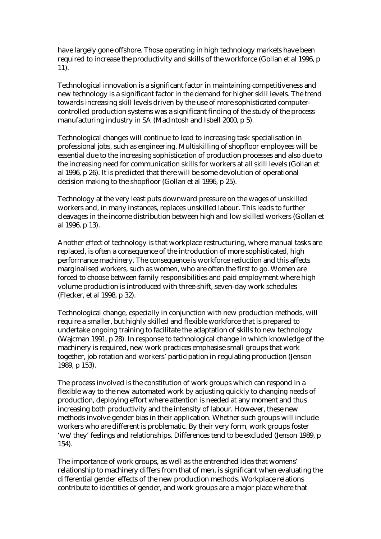have largely gone offshore. Those operating in high technology markets have been required to increase the productivity and skills of the workforce (Gollan et al 1996, p 11).

Technological innovation is a significant factor in maintaining competitiveness and new technology is a significant factor in the demand for higher skill levels. The trend towards increasing skill levels driven by the use of more sophisticated computercontrolled production systems was a significant finding of the study of the process manufacturing industry in SA (MacIntosh and Isbell 2000, p 5).

Technological changes will continue to lead to increasing task specialisation in professional jobs, such as engineering. Multiskilling of shopfloor employees will be essential due to the increasing sophistication of production processes and also due to the increasing need for communication skills for workers at all skill levels (Gollan et al 1996, p 26). It is predicted that there will be some devolution of operational decision making to the shopfloor (Gollan et al 1996, p 25).

Technology at the very least puts downward pressure on the wages of unskilled workers and, in many instances, replaces unskilled labour. This leads to further cleavages in the income distribution between high and low skilled workers (Gollan et al 1996, p 13).

Another effect of technology is that workplace restructuring, where manual tasks are replaced, is often a consequence of the introduction of more sophisticated, high performance machinery. The consequence is workforce reduction and this affects marginalised workers, such as women, who are often the first to go. Women are forced to choose between family responsibilities and paid employment where high volume production is introduced with three-shift, seven-day work schedules (Flecker, et al 1998, p 32).

Technological change, especially in conjunction with new production methods, will require a smaller, but highly skilled and flexible workforce that is prepared to undertake ongoing training to facilitate the adaptation of skills to new technology (Wajcman 1991, p 28). In response to technological change in which knowledge of the machinery is required, new work practices emphasise small groups that work together, job rotation and workers' participation in regulating production (Jenson 1989, p 153).

The process involved is the constitution of work groups which can respond in a flexible way to the new automated work by adjusting quickly to changing needs of production, deploying effort where attention is needed at any moment and thus increasing both productivity and the intensity of labour. However, these new methods involve gender bias in their application. Whether such groups will include workers who are different is problematic. By their very form, work groups foster 'we/they' feelings and relationships. Differences tend to be excluded (Jenson 1989, p 154).

The importance of work groups, as well as the entrenched idea that womens' relationship to machinery differs from that of men, is significant when evaluating the differential gender effects of the new production methods. Workplace relations contribute to identities of gender, and work groups are a major place where that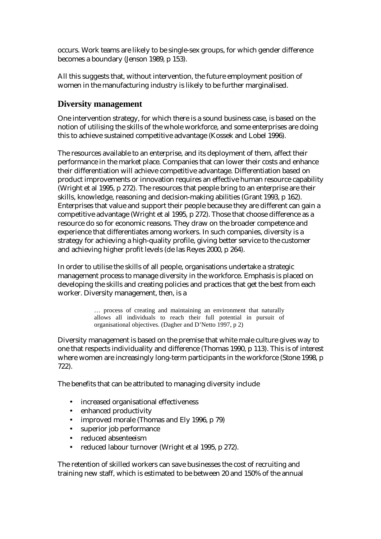occurs. Work teams are likely to be single-sex groups, for which gender difference becomes a boundary (Jenson 1989, p 153).

All this suggests that, without intervention, the future employment position of women in the manufacturing industry is likely to be further marginalised.

### **Diversity management**

One intervention strategy, for which there is a sound business case, is based on the notion of utilising the skills of the whole workforce, and some enterprises are doing this to achieve sustained competitive advantage (Kossek and Lobel 1996).

The resources available to an enterprise, and its deployment of them, affect their performance in the market place. Companies that can lower their costs and enhance their differentiation will achieve competitive advantage. Differentiation based on product improvements or innovation requires an effective human resource capability (Wright et al 1995, p 272). The resources that people bring to an enterprise are their skills, knowledge, reasoning and decision-making abilities (Grant 1993, p 162). Enterprises that value and support their people because they are different can gain a competitive advantage (Wright et al 1995, p 272). Those that choose difference as a resource do so for economic reasons. They draw on the broader competence and experience that differentiates among workers. In such companies, diversity is a strategy for achieving a high-quality profile, giving better service to the customer and achieving higher profit levels (de las Reyes 2000, p 264).

In order to utilise the skills of all people, organisations undertake a strategic management process to manage diversity in the workforce. Emphasis is placed on developing the skills and creating policies and practices that get the best from each worker. Diversity management, then, is a

> … process of creating and maintaining an environment that naturally allows all individuals to reach their full potential in pursuit of organisational objectives. (Dagher and D'Netto 1997, p 2)

Diversity management is based on the premise that white male culture gives way to one that respects individuality and difference (Thomas 1990, p 113). This is of interest where women are increasingly long-term participants in the workforce (Stone 1998, p 722).

The benefits that can be attributed to managing diversity include

- increased organisational effectiveness
- enhanced productivity
- improved morale (Thomas and Ely 1996, p 79)
- superior job performance
- reduced absenteeism
- reduced labour turnover (Wright et al 1995, p 272).

The retention of skilled workers can save businesses the cost of recruiting and training new staff, which is estimated to be between 20 and 150% of the annual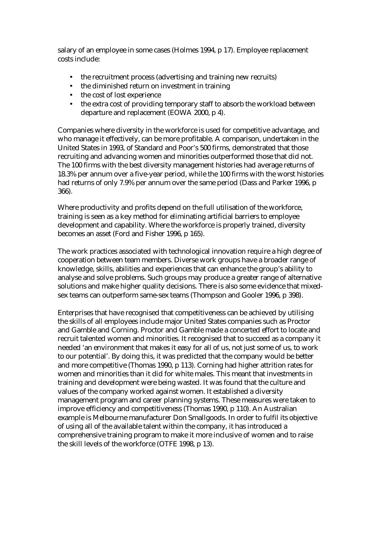salary of an employee in some cases (Holmes 1994, p 17). Employee replacement costs include:

- the recruitment process (advertising and training new recruits)
- the diminished return on investment in training
- the cost of lost experience
- the extra cost of providing temporary staff to absorb the workload between departure and replacement (EOWA 2000, p 4).

Companies where diversity in the workforce is used for competitive advantage, and who manage it effectively, can be more profitable. A comparison, undertaken in the United States in 1993, of Standard and Poor's 500 firms, demonstrated that those recruiting and advancing women and minorities outperformed those that did not. The 100 firms with the best diversity management histories had average returns of 18.3% per annum over a five-year period, while the 100 firms with the worst histories had returns of only 7.9% per annum over the same period (Dass and Parker 1996, p 366).

Where productivity and profits depend on the full utilisation of the workforce, training is seen as a key method for eliminating artificial barriers to employee development and capability. Where the workforce is properly trained, diversity becomes an asset (Ford and Fisher 1996, p 165).

The work practices associated with technological innovation require a high degree of cooperation between team members. Diverse work groups have a broader range of knowledge, skills, abilities and experiences that can enhance the group's ability to analyse and solve problems. Such groups may produce a greater range of alternative solutions and make higher quality decisions. There is also some evidence that mixedsex teams can outperform same-sex teams (Thompson and Gooler 1996, p 398).

Enterprises that have recognised that competitiveness can be achieved by utilising the skills of all employees include major United States companies such as Proctor and Gamble and Corning. Proctor and Gamble made a concerted effort to locate and recruit talented women and minorities. It recognised that to succeed as a company it needed 'an environment that makes it easy for all of us, not just some of us, to work to our potential'. By doing this, it was predicted that the company would be better and more competitive (Thomas 1990, p 113). Corning had higher attrition rates for women and minorities than it did for white males. This meant that investments in training and development were being wasted. It was found that the culture and values of the company worked against women. It established a diversity management program and career planning systems. These measures were taken to improve efficiency and competitiveness (Thomas 1990, p 110). An Australian example is Melbourne manufacturer Don Smallgoods. In order to fulfil its objective of using all of the available talent within the company, it has introduced a comprehensive training program to make it more inclusive of women and to raise the skill levels of the workforce (OTFE 1998, p 13).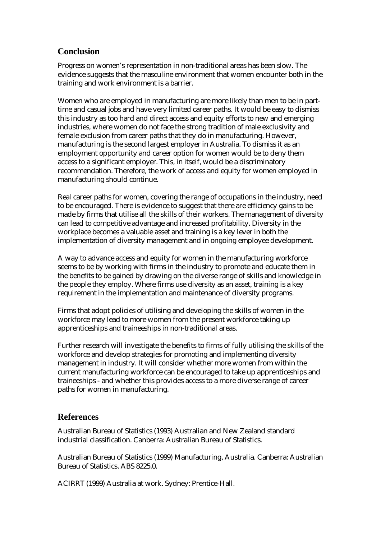# **Conclusion**

Progress on women's representation in non-traditional areas has been slow. The evidence suggests that the masculine environment that women encounter both in the training and work environment is a barrier.

Women who are employed in manufacturing are more likely than men to be in parttime and casual jobs and have very limited career paths. It would be easy to dismiss this industry as too hard and direct access and equity efforts to new and emerging industries, where women do not face the strong tradition of male exclusivity and female exclusion from career paths that they do in manufacturing. However, manufacturing is the second largest employer in Australia. To dismiss it as an employment opportunity and career option for women would be to deny them access to a significant employer. This, in itself, would be a discriminatory recommendation. Therefore, the work of access and equity for women employed in manufacturing should continue.

Real career paths for women, covering the range of occupations in the industry, need to be encouraged. There is evidence to suggest that there are efficiency gains to be made by firms that utilise all the skills of their workers. The management of diversity can lead to competitive advantage and increased profitability. Diversity in the workplace becomes a valuable asset and training is a key lever in both the implementation of diversity management and in ongoing employee development.

A way to advance access and equity for women in the manufacturing workforce seems to be by working with firms in the industry to promote and educate them in the benefits to be gained by drawing on the diverse range of skills and knowledge in the people they employ. Where firms use diversity as an asset, training is a key requirement in the implementation and maintenance of diversity programs.

Firms that adopt policies of utilising and developing the skills of women in the workforce may lead to more women from the present workforce taking up apprenticeships and traineeships in non-traditional areas.

Further research will investigate the benefits to firms of fully utilising the skills of the workforce and develop strategies for promoting and implementing diversity management in industry. It will consider whether more women from within the current manufacturing workforce can be encouraged to take up apprenticeships and traineeships - and whether this provides access to a more diverse range of career paths for women in manufacturing.

# **References**

Australian Bureau of Statistics (1993) Australian and New Zealand standard industrial classification. Canberra: Australian Bureau of Statistics.

Australian Bureau of Statistics (1999) Manufacturing, Australia. Canberra: Australian Bureau of Statistics. ABS 8225.0.

ACIRRT (1999) Australia at work. Sydney: Prentice-Hall.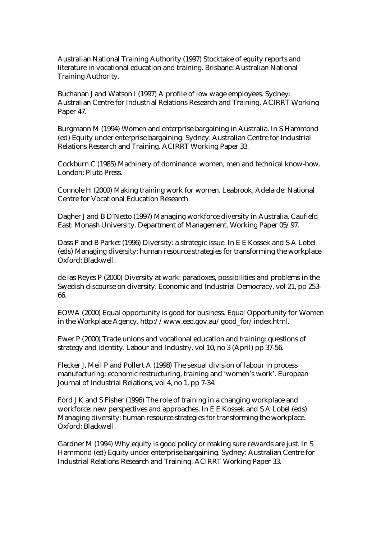Australian National Training Authority (1997) Stocktake of equity reports and literature in vocational education and training. Brisbane: Australian National Training Authority.

Buchanan J and Watson I (1997) A profile of low wage employees. Sydney: Australian Centre for Industrial Relations Research and Training. ACIRRT Working Paper 47.

Burgmann M (1994) Women and enterprise bargaining in Australia. In S Hammond (ed) Equity under enterprise bargaining. Sydney: Australian Centre for Industrial Relations Research and Training. ACIRRT Working Paper 33.

Cockburn C (1985) Machinery of dominance: women, men and technical know-how. London: Pluto Press.

Connole H (2000) Making training work for women. Leabrook, Adelaide: National Centre for Vocational Education Research.

Dagher J and B D'Netto (1997) Managing workforce diversity in Australia. Caufield East: Monash University. Department of Management. Working Paper 05/97.

Dass P and B Parket (1996) Diversity: a strategic issue. In E E Kossek and S A Lobel (eds) Managing diversity: human resource strategies for transforming the workplace. Oxford: Blackwell.

de las Reyes P (2000) Diversity at work: paradoxes, possibilities and problems in the Swedish discourse on diversity. Economic and Industrial Democracy, vol 21, pp 253- 66.

EOWA (2000) Equal opportunity is good for business. Equal Opportunity for Women in the Workplace Agency. http://www.eeo.gov.au/good\_for/index.html.

Ewer P (2000) Trade unions and vocational education and training: questions of strategy and identity. Labour and Industry, vol 10, no 3 (April) pp 37-56.

Flecker J, Meil P and Pollert A (1998) The sexual division of labour in process manufacturing: economic restructuring, training and 'women's work'. European Journal of Industrial Relations, vol 4, no 1, pp 7-34.

Ford J K and S Fisher (1996) The role of training in a changing workplace and workforce: new perspectives and approaches. In E E Kossek and S A Lobel (eds) Managing diversity: human resource strategies for transforming the workplace. Oxford: Blackwell.

Gardner M (1994) Why equity is good policy or making sure rewards are just. In S Hammond (ed) Equity under enterprise bargaining. Sydney: Australian Centre for Industrial Relations Research and Training. ACIRRT Working Paper 33.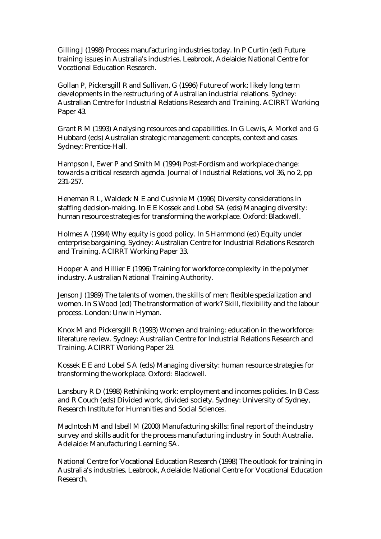Gilling J (1998) Process manufacturing industries today. In P Curtin (ed) Future training issues in Australia's industries. Leabrook, Adelaide: National Centre for Vocational Education Research.

Gollan P, Pickersgill R and Sullivan, G (1996) Future of work: likely long term developments in the restructuring of Australian industrial relations. Sydney: Australian Centre for Industrial Relations Research and Training. ACIRRT Working Paper 43.

Grant R M (1993) Analysing resources and capabilities. In G Lewis, A Morkel and G Hubbard (eds) Australian strategic management: concepts, context and cases. Sydney: Prentice-Hall.

Hampson I, Ewer P and Smith M (1994) Post-Fordism and workplace change: towards a critical research agenda. Journal of Industrial Relations, vol 36, no 2, pp 231-257.

Heneman R L, Waldeck N E and Cushnie M (1996) Diversity considerations in staffing decision-making. In E E Kossek and Lobel SA (eds) Managing diversity: human resource strategies for transforming the workplace. Oxford: Blackwell.

Holmes A (1994) Why equity is good policy. In S Hammond (ed) Equity under enterprise bargaining. Sydney: Australian Centre for Industrial Relations Research and Training. ACIRRT Working Paper 33.

Hooper A and Hillier E (1996) Training for workforce complexity in the polymer industry. Australian National Training Authority.

Jenson J (1989) The talents of women, the skills of men: flexible specialization and women. In S Wood (ed) The transformation of work? Skill, flexibility and the labour process. London: Unwin Hyman.

Knox M and Pickersgill R (1993) Women and training: education in the workforce: literature review. Sydney: Australian Centre for Industrial Relations Research and Training. ACIRRT Working Paper 29.

Kossek E E and Lobel S A (eds) Managing diversity: human resource strategies for transforming the workplace. Oxford: Blackwell.

Lansbury R D (1998) Rethinking work: employment and incomes policies. In B Cass and R Couch (eds) Divided work, divided society. Sydney: University of Sydney, Research Institute for Humanities and Social Sciences.

MacIntosh M and Isbell M (2000) Manufacturing skills: final report of the industry survey and skills audit for the process manufacturing industry in South Australia. Adelaide: Manufacturing Learning SA.

National Centre for Vocational Education Research (1998) The outlook for training in Australia's industries. Leabrook, Adelaide: National Centre for Vocational Education Research.